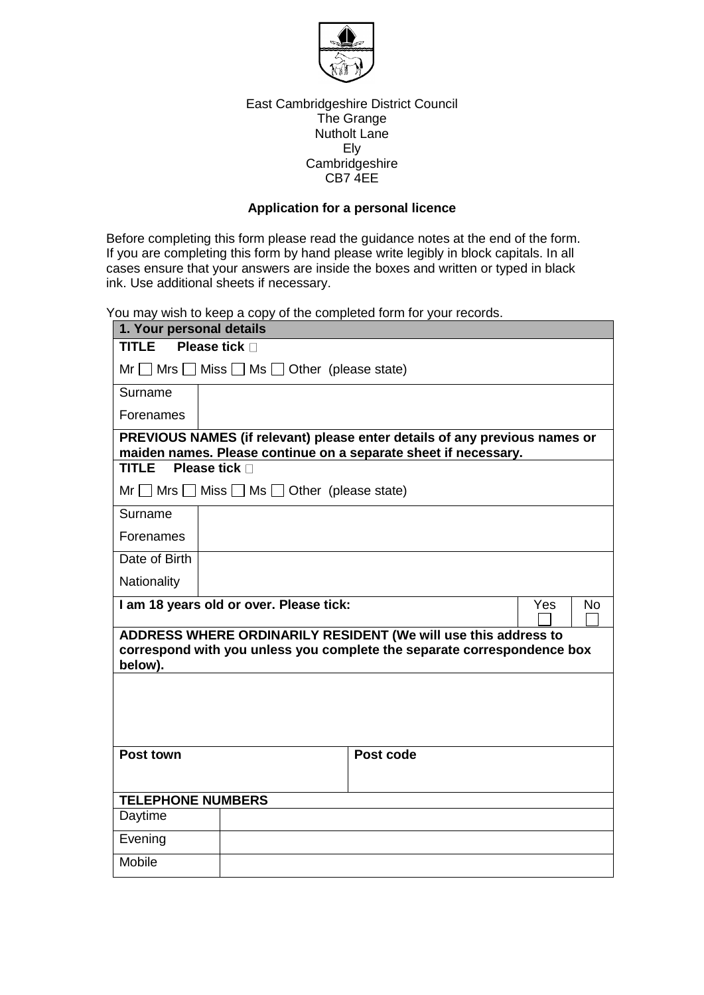

## East Cambridgeshire District Council The Grange Nutholt Lane Ely Cambridgeshire CB7 4EE

## **Application for a personal licence**

Before completing this form please read the guidance notes at the end of the form. If you are completing this form by hand please write legibly in block capitals. In all cases ensure that your answers are inside the boxes and written or typed in black ink. Use additional sheets if necessary.

You may wish to keep a copy of the completed form for your records.

| 1. Your personal details                                                                                                                             |                                                              |                                                                                                                                               |                         |  |
|------------------------------------------------------------------------------------------------------------------------------------------------------|--------------------------------------------------------------|-----------------------------------------------------------------------------------------------------------------------------------------------|-------------------------|--|
| <b>TITLE</b>                                                                                                                                         | <b>Please tick</b> □                                         |                                                                                                                                               |                         |  |
| $Mr \tMrs \tMiss \tMss \tMss$ Other (please state)                                                                                                   |                                                              |                                                                                                                                               |                         |  |
| Surname                                                                                                                                              |                                                              |                                                                                                                                               |                         |  |
| Forenames                                                                                                                                            |                                                              |                                                                                                                                               |                         |  |
|                                                                                                                                                      |                                                              | PREVIOUS NAMES (if relevant) please enter details of any previous names or<br>maiden names. Please continue on a separate sheet if necessary. |                         |  |
| <b>TITLE</b>                                                                                                                                         | Please tick n                                                |                                                                                                                                               |                         |  |
|                                                                                                                                                      | $Mr \tMrs \tMiss \tMss \tMss$ Ms $\Box$ Other (please state) |                                                                                                                                               |                         |  |
| Surname                                                                                                                                              |                                                              |                                                                                                                                               |                         |  |
| Forenames                                                                                                                                            |                                                              |                                                                                                                                               |                         |  |
| Date of Birth                                                                                                                                        |                                                              |                                                                                                                                               |                         |  |
| Nationality                                                                                                                                          |                                                              |                                                                                                                                               |                         |  |
|                                                                                                                                                      | I am 18 years old or over. Please tick:                      |                                                                                                                                               | <b>Yes</b><br><b>No</b> |  |
| ADDRESS WHERE ORDINARILY RESIDENT (We will use this address to<br>correspond with you unless you complete the separate correspondence box<br>below). |                                                              |                                                                                                                                               |                         |  |
|                                                                                                                                                      |                                                              |                                                                                                                                               |                         |  |
|                                                                                                                                                      |                                                              |                                                                                                                                               |                         |  |
|                                                                                                                                                      |                                                              |                                                                                                                                               |                         |  |
| <b>Post town</b>                                                                                                                                     |                                                              | Post code                                                                                                                                     |                         |  |
|                                                                                                                                                      |                                                              |                                                                                                                                               |                         |  |
| <b>TELEPHONE NUMBERS</b>                                                                                                                             |                                                              |                                                                                                                                               |                         |  |
| Daytime                                                                                                                                              |                                                              |                                                                                                                                               |                         |  |
| Evening                                                                                                                                              |                                                              |                                                                                                                                               |                         |  |
| Mobile                                                                                                                                               |                                                              |                                                                                                                                               |                         |  |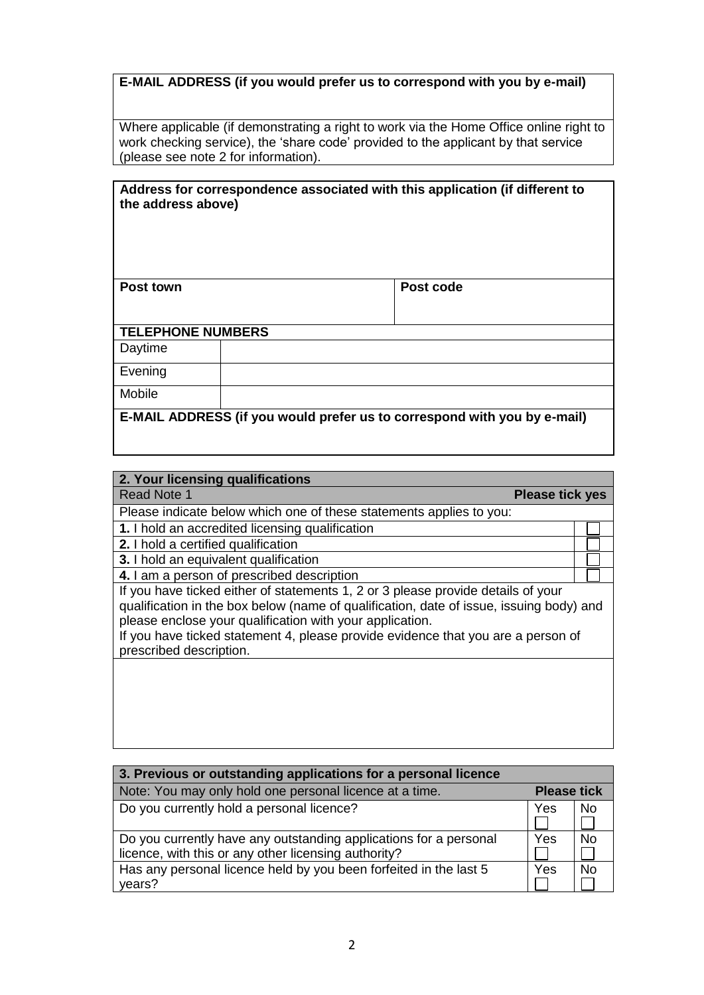# **E-MAIL ADDRESS (if you would prefer us to correspond with you by e-mail)**

Where applicable (if demonstrating a right to work via the Home Office online right to work checking service), the 'share code' provided to the applicant by that service (please see note 2 for information).

| the address above)       | Address for correspondence associated with this application (if different to |
|--------------------------|------------------------------------------------------------------------------|
| Post town                | Post code                                                                    |
| <b>TELEPHONE NUMBERS</b> |                                                                              |
| Daytime                  |                                                                              |
| Evening                  |                                                                              |
| Mobile                   |                                                                              |
|                          | E-MAIL ADDRESS (if you would prefer us to correspond with you by e-mail)     |

| 2. TOUT IICENSING QUANNEQUONS                                                           |  |  |
|-----------------------------------------------------------------------------------------|--|--|
| <b>Read Note 1</b><br><b>Please tick yes</b>                                            |  |  |
| Please indicate below which one of these statements applies to you:                     |  |  |
| 1. I hold an accredited licensing qualification                                         |  |  |
| 2. I hold a certified qualification                                                     |  |  |
| 3. I hold an equivalent qualification                                                   |  |  |
| 4. I am a person of prescribed description                                              |  |  |
| If you have ticked either of statements 1, 2 or 3 please provide details of your        |  |  |
| qualification in the box below (name of qualification, date of issue, issuing body) and |  |  |
| please enclose your qualification with your application.                                |  |  |
| If you have ticked statement 4, please provide evidence that you are a person of        |  |  |
| prescribed description.                                                                 |  |  |
|                                                                                         |  |  |
|                                                                                         |  |  |
|                                                                                         |  |  |
|                                                                                         |  |  |
|                                                                                         |  |  |

**2. Your licensing qualifications**

| 3. Previous or outstanding applications for a personal licence                                                            |     |                    |  |
|---------------------------------------------------------------------------------------------------------------------------|-----|--------------------|--|
| Note: You may only hold one personal licence at a time.                                                                   |     | <b>Please tick</b> |  |
| Do you currently hold a personal licence?                                                                                 | Yes | <b>No</b>          |  |
| Do you currently have any outstanding applications for a personal<br>licence, with this or any other licensing authority? | Yes | No                 |  |
| Has any personal licence held by you been forfeited in the last 5<br>years?                                               | Yes | N <sub>0</sub>     |  |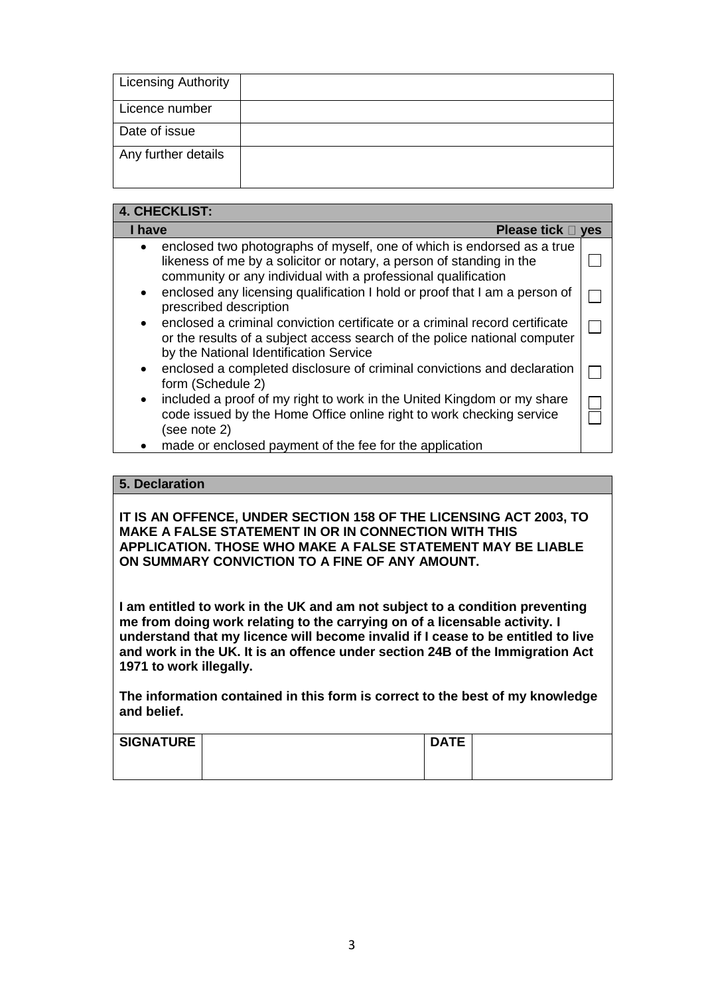| <b>Licensing Authority</b> |  |
|----------------------------|--|
| Licence number             |  |
| Date of issue              |  |
| Any further details        |  |
|                            |  |

## **4. CHECKLIST:**

| I have<br>Please tick D                                                                                                                                                                                                      | <b>ves</b> |
|------------------------------------------------------------------------------------------------------------------------------------------------------------------------------------------------------------------------------|------------|
| enclosed two photographs of myself, one of which is endorsed as a true<br>$\bullet$<br>likeness of me by a solicitor or notary, a person of standing in the<br>community or any individual with a professional qualification |            |
| enclosed any licensing qualification I hold or proof that I am a person of<br>$\bullet$<br>prescribed description                                                                                                            |            |
| enclosed a criminal conviction certificate or a criminal record certificate<br>$\bullet$<br>or the results of a subject access search of the police national computer<br>by the National Identification Service              |            |
| enclosed a completed disclosure of criminal convictions and declaration<br>$\bullet$<br>form (Schedule 2)                                                                                                                    |            |
| included a proof of my right to work in the United Kingdom or my share<br>$\bullet$<br>code issued by the Home Office online right to work checking service<br>(see note 2)                                                  |            |
| made or enclosed payment of the fee for the application                                                                                                                                                                      |            |

## **5. Declaration**

**IT IS AN OFFENCE, UNDER SECTION 158 OF THE LICENSING ACT 2003, TO MAKE A FALSE STATEMENT IN OR IN CONNECTION WITH THIS APPLICATION. THOSE WHO MAKE A FALSE STATEMENT MAY BE LIABLE ON SUMMARY CONVICTION TO A FINE OF ANY AMOUNT.** 

**I am entitled to work in the UK and am not subject to a condition preventing me from doing work relating to the carrying on of a licensable activity. I understand that my licence will become invalid if I cease to be entitled to live and work in the UK. It is an offence under section 24B of the Immigration Act 1971 to work illegally.**

**The information contained in this form is correct to the best of my knowledge and belief.**

| <b>SIGNATURE</b> | <b>DATE</b> |  |
|------------------|-------------|--|
|                  |             |  |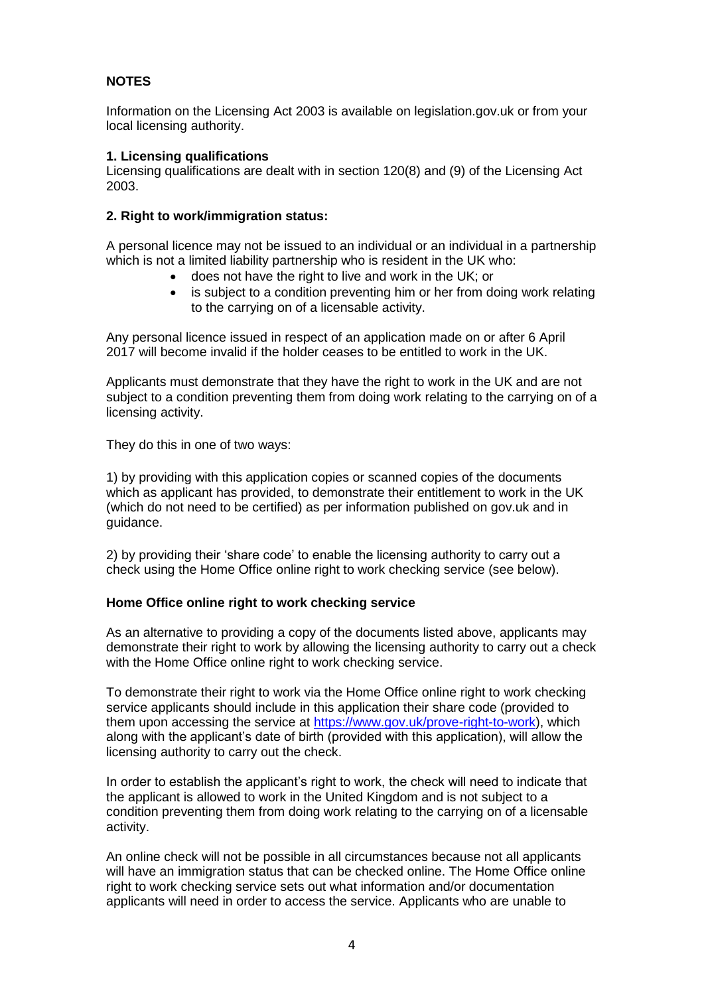## **NOTES**

Information on the Licensing Act 2003 is available on legislation.gov.uk or from your local licensing authority.

## **1. Licensing qualifications**

Licensing qualifications are dealt with in section 120(8) and (9) of the Licensing Act 2003.

## **2. Right to work/immigration status:**

A personal licence may not be issued to an individual or an individual in a partnership which is not a limited liability partnership who is resident in the UK who:

- does not have the right to live and work in the UK; or
- is subject to a condition preventing him or her from doing work relating to the carrying on of a licensable activity.

Any personal licence issued in respect of an application made on or after 6 April 2017 will become invalid if the holder ceases to be entitled to work in the UK.

Applicants must demonstrate that they have the right to work in the UK and are not subject to a condition preventing them from doing work relating to the carrying on of a licensing activity.

They do this in one of two ways:

1) by providing with this application copies or scanned copies of the documents which as applicant has provided, to demonstrate their entitlement to work in the UK (which do not need to be certified) as per information published on gov.uk and in guidance.

2) by providing their 'share code' to enable the licensing authority to carry out a check using the Home Office online right to work checking service (see below).

## **Home Office online right to work checking service**

As an alternative to providing a copy of the documents listed above, applicants may demonstrate their right to work by allowing the licensing authority to carry out a check with the Home Office online right to work checking service.

To demonstrate their right to work via the Home Office online right to work checking service applicants should include in this application their share code (provided to them upon accessing the service at [https://www.gov.uk/prove-right-to-work\)](https://www.gov.uk/prove-right-to-work), which along with the applicant's date of birth (provided with this application), will allow the licensing authority to carry out the check.

In order to establish the applicant's right to work, the check will need to indicate that the applicant is allowed to work in the United Kingdom and is not subject to a condition preventing them from doing work relating to the carrying on of a licensable activity.

An online check will not be possible in all circumstances because not all applicants will have an immigration status that can be checked online. The Home Office online right to work checking service sets out what information and/or documentation applicants will need in order to access the service. Applicants who are unable to